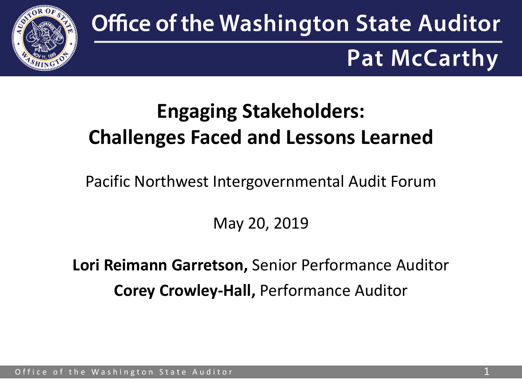

# **Office of the Washington State Auditor Pat McCarthy**

## **Engaging Stakeholders: Challenges Faced and Lessons Learned**

Pacific Northwest Intergovernmental Audit Forum

May 20, 2019

**Lori Reimann Garretson,** Senior Performance Auditor **Corey Crowley-Hall,** Performance Auditor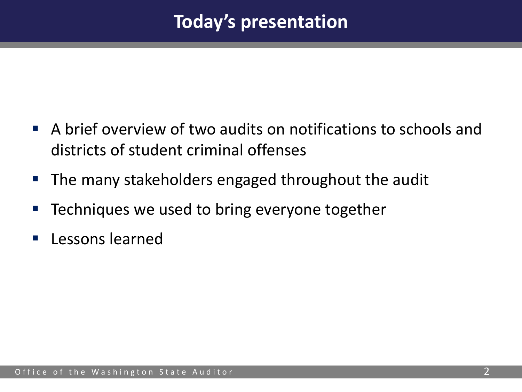### **Today's presentation**

- A brief overview of two audits on notifications to schools and districts of student criminal offenses
- **The many stakeholders engaged throughout the audit**
- Techniques we used to bring everyone together
- **Lessons learned**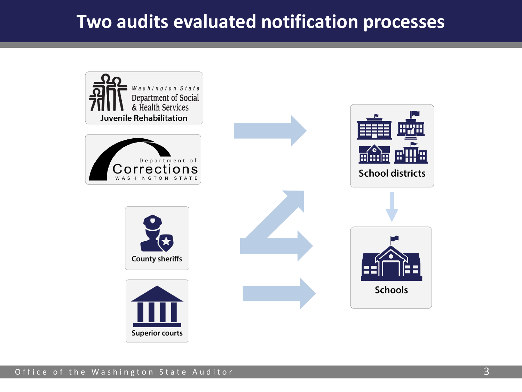#### **Two audits evaluated notification processes**

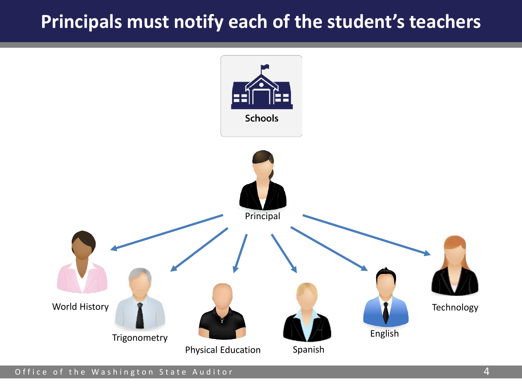#### **Principals must notify each of the student's teachers**

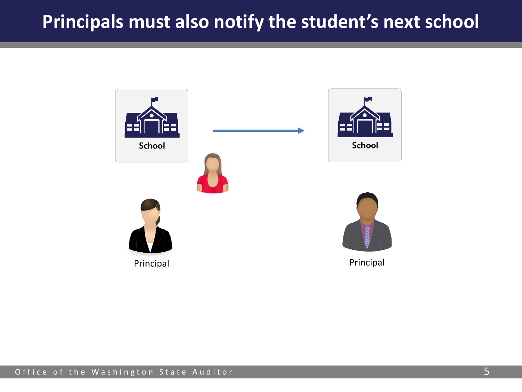#### **Principals must also notify the student's next school**

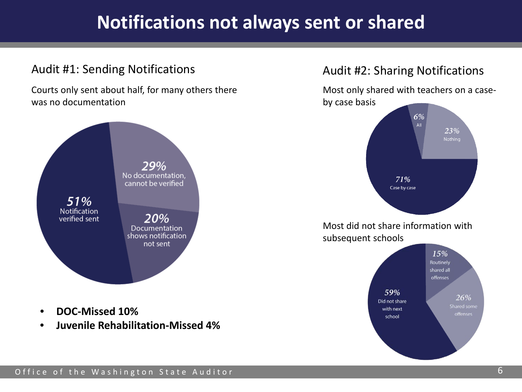### **Notifications not always sent or shared**

#### Audit #1: Sending Notifications **Audit #2: Sharing Notifications** Audit #2: Sharing Notifications

Courts only sent about half, for many others there was no documentation



• **Juvenile Rehabilitation-Missed 4%**

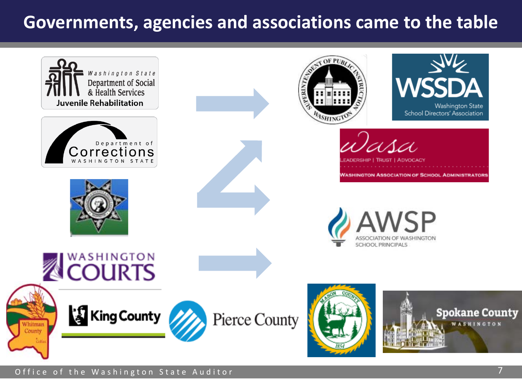#### **Governments, agencies and associations came to the table**

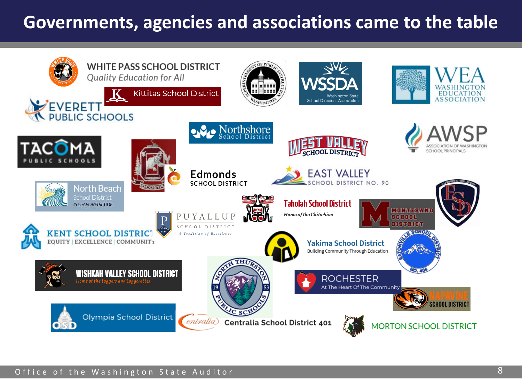#### **Governments, agencies and associations came to the table**

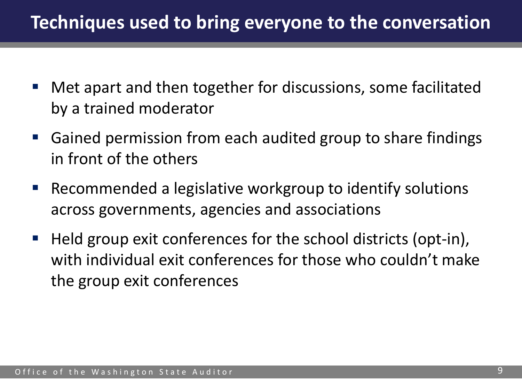- Met apart and then together for discussions, some facilitated by a trained moderator
- Gained permission from each audited group to share findings in front of the others
- **Recommended a legislative workgroup to identify solutions** across governments, agencies and associations
- Held group exit conferences for the school districts (opt-in), with individual exit conferences for those who couldn't make the group exit conferences